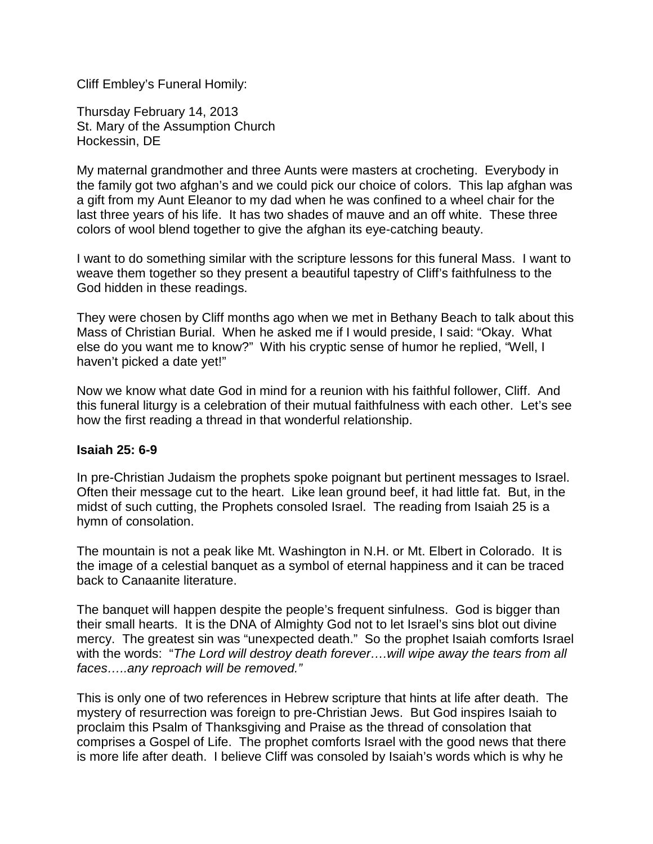Cliff Embley's Funeral Homily:

Thursday February 14, 2013 St. Mary of the Assumption Church Hockessin, DE

My maternal grandmother and three Aunts were masters at crocheting. Everybody in the family got two afghan's and we could pick our choice of colors. This lap afghan was a gift from my Aunt Eleanor to my dad when he was confined to a wheel chair for the last three years of his life. It has two shades of mauve and an off white. These three colors of wool blend together to give the afghan its eye-catching beauty.

I want to do something similar with the scripture lessons for this funeral Mass. I want to weave them together so they present a beautiful tapestry of Cliff's faithfulness to the God hidden in these readings.

They were chosen by Cliff months ago when we met in Bethany Beach to talk about this Mass of Christian Burial. When he asked me if I would preside, I said: "Okay. What else do you want me to know?" With his cryptic sense of humor he replied, "Well, I haven't picked a date yet!"

Now we know what date God in mind for a reunion with his faithful follower, Cliff. And this funeral liturgy is a celebration of their mutual faithfulness with each other. Let's see how the first reading a thread in that wonderful relationship.

## **Isaiah 25: 6-9**

In pre-Christian Judaism the prophets spoke poignant but pertinent messages to Israel. Often their message cut to the heart. Like lean ground beef, it had little fat. But, in the midst of such cutting, the Prophets consoled Israel. The reading from Isaiah 25 is a hymn of consolation.

The mountain is not a peak like Mt. Washington in N.H. or Mt. Elbert in Colorado. It is the image of a celestial banquet as a symbol of eternal happiness and it can be traced back to Canaanite literature.

The banquet will happen despite the people's frequent sinfulness. God is bigger than their small hearts. It is the DNA of Almighty God not to let Israel's sins blot out divine mercy. The greatest sin was "unexpected death." So the prophet Isaiah comforts Israel with the words: "*The Lord will destroy death forever….will wipe away the tears from all faces…..any reproach will be removed."*

This is only one of two references in Hebrew scripture that hints at life after death. The mystery of resurrection was foreign to pre-Christian Jews. But God inspires Isaiah to proclaim this Psalm of Thanksgiving and Praise as the thread of consolation that comprises a Gospel of Life. The prophet comforts Israel with the good news that there is more life after death. I believe Cliff was consoled by Isaiah's words which is why he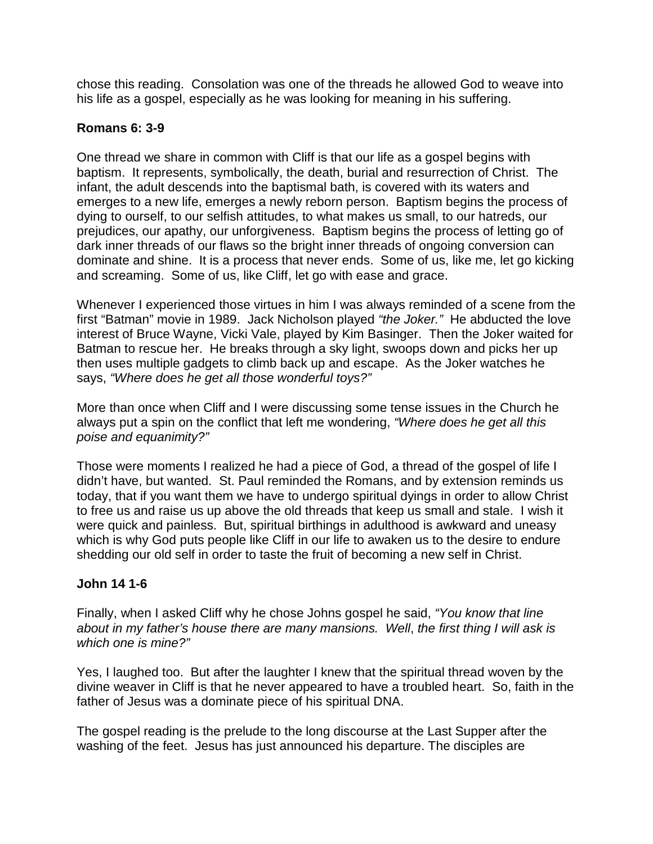chose this reading. Consolation was one of the threads he allowed God to weave into his life as a gospel, especially as he was looking for meaning in his suffering.

## **Romans 6: 3-9**

One thread we share in common with Cliff is that our life as a gospel begins with baptism. It represents, symbolically, the death, burial and resurrection of Christ. The infant, the adult descends into the baptismal bath, is covered with its waters and emerges to a new life, emerges a newly reborn person. Baptism begins the process of dying to ourself, to our selfish attitudes, to what makes us small, to our hatreds, our prejudices, our apathy, our unforgiveness. Baptism begins the process of letting go of dark inner threads of our flaws so the bright inner threads of ongoing conversion can dominate and shine. It is a process that never ends. Some of us, like me, let go kicking and screaming. Some of us, like Cliff, let go with ease and grace.

Whenever I experienced those virtues in him I was always reminded of a scene from the first "Batman" movie in 1989. Jack Nicholson played *"the Joker."* He abducted the love interest of Bruce Wayne, Vicki Vale, played by Kim Basinger. Then the Joker waited for Batman to rescue her. He breaks through a sky light, swoops down and picks her up then uses multiple gadgets to climb back up and escape. As the Joker watches he says, *"Where does he get all those wonderful toys?"*

More than once when Cliff and I were discussing some tense issues in the Church he always put a spin on the conflict that left me wondering, *"Where does he get all this poise and equanimity?"*

Those were moments I realized he had a piece of God, a thread of the gospel of life I didn't have, but wanted. St. Paul reminded the Romans, and by extension reminds us today, that if you want them we have to undergo spiritual dyings in order to allow Christ to free us and raise us up above the old threads that keep us small and stale. I wish it were quick and painless. But, spiritual birthings in adulthood is awkward and uneasy which is why God puts people like Cliff in our life to awaken us to the desire to endure shedding our old self in order to taste the fruit of becoming a new self in Christ.

## **John 14 1-6**

Finally, when I asked Cliff why he chose Johns gospel he said, *"You know that line about in my father's house there are many mansions. Well*, *the first thing I will ask is which one is mine?"*

Yes, I laughed too. But after the laughter I knew that the spiritual thread woven by the divine weaver in Cliff is that he never appeared to have a troubled heart. So, faith in the father of Jesus was a dominate piece of his spiritual DNA.

The gospel reading is the prelude to the long discourse at the Last Supper after the washing of the feet. Jesus has just announced his departure. The disciples are